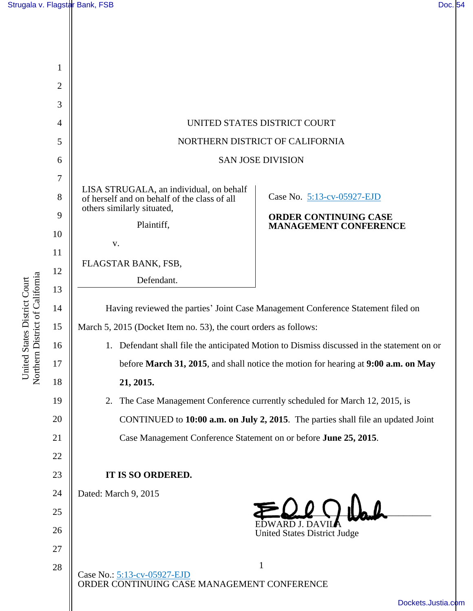United States District Court Northern District of California

United States District Court<br>Northern District of California

| 1              |                                                                                            |                                                              |
|----------------|--------------------------------------------------------------------------------------------|--------------------------------------------------------------|
| $\overline{2}$ |                                                                                            |                                                              |
| 3              |                                                                                            |                                                              |
| $\overline{4}$ | UNITED STATES DISTRICT COURT                                                               |                                                              |
| 5              | NORTHERN DISTRICT OF CALIFORNIA                                                            |                                                              |
| 6              | <b>SAN JOSE DIVISION</b>                                                                   |                                                              |
| $\overline{7}$ |                                                                                            |                                                              |
| 8              | LISA STRUGALA, an individual, on behalf<br>of herself and on behalf of the class of all    | Case No. 5:13-cv-05927-EJD                                   |
| 9              | others similarly situated,<br>Plaintiff,                                                   | <b>ORDER CONTINUING CASE</b><br><b>MANAGEMENT CONFERENCE</b> |
| 10             | $\mathbf{V}$ .                                                                             |                                                              |
| 11             |                                                                                            |                                                              |
| 12             | FLAGSTAR BANK, FSB,<br>Defendant.                                                          |                                                              |
| 13             |                                                                                            |                                                              |
| 14             | Having reviewed the parties' Joint Case Management Conference Statement filed on           |                                                              |
| 15             | March 5, 2015 (Docket Item no. 53), the court orders as follows:                           |                                                              |
| 16             | 1. Defendant shall file the anticipated Motion to Dismiss discussed in the statement on or |                                                              |
| 17             | before March 31, 2015, and shall notice the motion for hearing at 9:00 a.m. on May         |                                                              |
| 18             | 21, 2015.                                                                                  |                                                              |
| 19             | The Case Management Conference currently scheduled for March 12, 2015, is<br>2.            |                                                              |
| 20             | CONTINUED to 10:00 a.m. on July 2, 2015. The parties shall file an updated Joint           |                                                              |
| 21             | Case Management Conference Statement on or before June 25, 2015.                           |                                                              |
| 22             |                                                                                            |                                                              |
| 23             | IT IS SO ORDERED.                                                                          |                                                              |
| 24             | Dated: March 9, 2015                                                                       |                                                              |
| 25             |                                                                                            |                                                              |
| 26             | EDWARD J. DAVILA<br><b>United States District Judge</b>                                    |                                                              |
| 27             |                                                                                            |                                                              |
| 28             | $\mathbf 1$<br>Case No.: 5:13-cv-05927-EJD<br>ORDER CONTINUING CASE MANAGEMENT CONFERENCE  |                                                              |
|                |                                                                                            |                                                              |
|                | Dockets.Justia.c                                                                           |                                                              |

[Dockets.Justia.com](http://dockets.justia.com/)